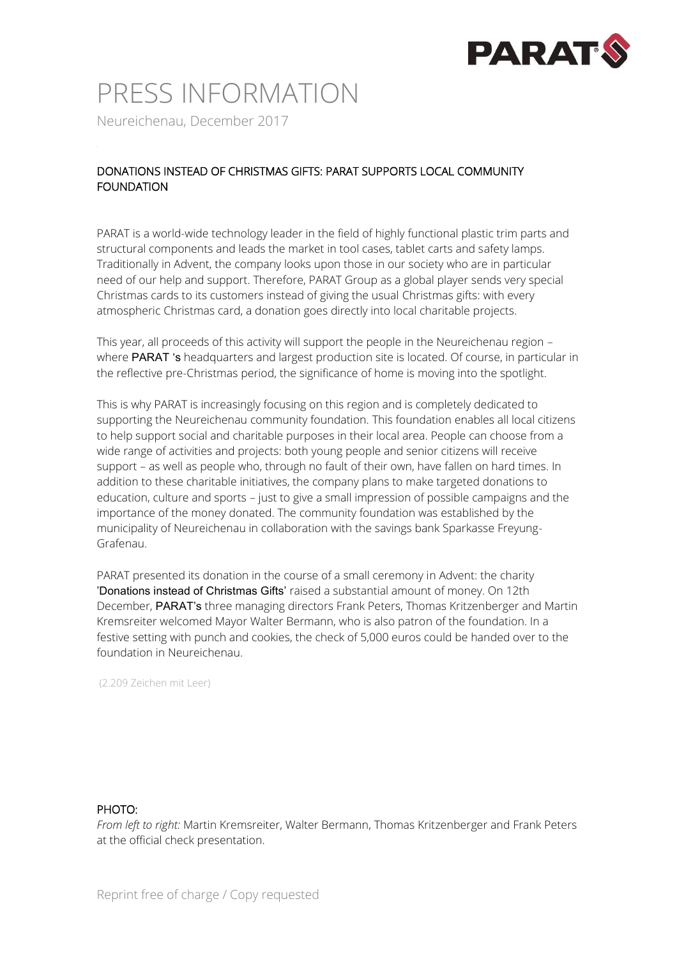

## PRESS INFORMATION

Neureichenau, December 2017

#### DONATIONS INSTEAD OF CHRISTMAS GIFTS: PARAT SUPPORTS LOCAL COMMUNITY FOUNDATION

PARAT is a world-wide technology leader in the field of highly functional plastic trim parts and structural components and leads the market in tool cases, tablet carts and safety lamps. Traditionally in Advent, the company looks upon those in our society who are in particular need of our help and support. Therefore, PARAT Group as a global player sends very special Christmas cards to its customers instead of giving the usual Christmas gifts: with every atmospheric Christmas card, a donation goes directly into local charitable projects.

This year, all proceeds of this activity will support the people in the Neureichenau region – where **PARAT** 's headquarters and largest production site is located. Of course, in particular in the reflective pre-Christmas period, the significance of home is moving into the spotlight.

This is why PARAT is increasingly focusing on this region and is completely dedicated to supporting the Neureichenau community foundation. This foundation enables all local citizens to help support social and charitable purposes in their local area. People can choose from a wide range of activities and projects: both young people and senior citizens will receive support – as well as people who, through no fault of their own, have fallen on hard times. In addition to these charitable initiatives, the company plans to make targeted donations to education, culture and sports – just to give a small impression of possible campaigns and the importance of the money donated. The community foundation was established by the municipality of Neureichenau in collaboration with the savings bank Sparkasse Freyung-Grafenau.

PARAT presented its donation in the course of a small ceremony in Advent: the charity 'Donations instead of Christmas Gifts' raised a substantial amount of money. On 12th December, PARAT's three managing directors Frank Peters, Thomas Kritzenberger and Martin Kremsreiter welcomed Mayor Walter Bermann, who is also patron of the foundation. In a festive setting with punch and cookies, the check of 5,000 euros could be handed over to the foundation in Neureichenau.

(2.209 Zeichen mit Leer)

#### PHOTO:

*From left to right:* Martin Kremsreiter, Walter Bermann, Thomas Kritzenberger and Frank Peters at the official check presentation.